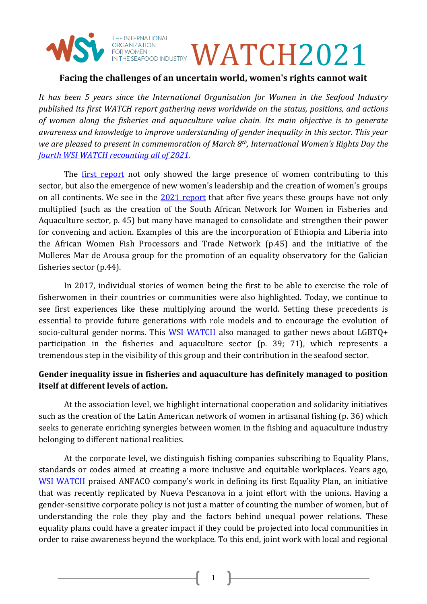

**EOR ANIZATION**<br>FOR WOMEN

## **Facing the challenges of an uncertain world, women's rights cannot wait**

*It has been 5 years since the International Organisation for Women in the Seafood Industry published its first WATCH report gathering news worldwide on the status, positions, and actions of women along the fisheries and aquaculture value chain. Its main objective is to generate awareness and knowledge to improve understanding of gender inequality in this sector. This year we are pleased to present in commemoration of March 8th, International Women's Rights Day the fourth WSI WATCH [recounting all of 2021.](https://womeninseafood.org/wp-content/uploads/2022/03/watch-2021-en.pdf)* 

The <u>[first report](https://womeninseafood.org/wp-content/uploads/2020/02/WSI-WATCH-2017.pdf)</u> not only showed the large presence of women contributing to this sector, but also the emergence of new women's leadership and the creation of women's groups on all continents. We see in the [2021 report](https://womeninseafood.org/wp-content/uploads/2022/03/watch-2021-en.pdf) that after five years these groups have not only multiplied (such as the creation of the South African Network for Women in Fisheries and Aquaculture sector, p. 45) but many have managed to consolidate and strengthen their power for convening and action. Examples of this are the incorporation of Ethiopia and Liberia into the African Women Fish Processors and Trade Network (p.45) and the initiative of the Mulleres Mar de Arousa group for the promotion of an equality observatory for the Galician fisheries sector (p.44).

In 2017, individual stories of women being the first to be able to exercise the role of fisherwomen in their countries or communities were also highlighted. Today, we continue to see first experiences like these multiplying around the world. Setting these precedents is essential to provide future generations with role models and to encourage the evolution of socio-cultural gender norms. This [WSI WATCH](https://womeninseafood.org/wp-content/uploads/2022/03/watch-2021-en.pdf) also managed to gather news about LGBTQ+ participation in the fisheries and aquaculture sector (p. 39; 71), which represents a tremendous step in the visibility of this group and their contribution in the seafood sector.

## **Gender inequality issue in fisheries and aquaculture has definitely managed to position itself at different levels of action.**

At the association level, we highlight international cooperation and solidarity initiatives such as the creation of the Latin American network of women in artisanal fishing (p. 36) which seeks to generate enriching synergies between women in the fishing and aquaculture industry belonging to different national realities.

At the corporate level, we distinguish fishing companies subscribing to Equality Plans, standards or codes aimed at creating a more inclusive and equitable workplaces. Years ago, [WSI WATCH](https://womeninseafood.org/wp-content/uploads/2022/03/watch-2021-en.pdf) praised ANFACO company's work in defining its first Equality Plan, an initiative that was recently replicated by Nueva Pescanova in a joint effort with the unions. Having a gender-sensitive corporate policy is not just a matter of counting the number of women, but of understanding the role they play and the factors behind unequal power relations. These equality plans could have a greater impact if they could be projected into local communities in order to raise awareness beyond the workplace. To this end, joint work with local and regional

1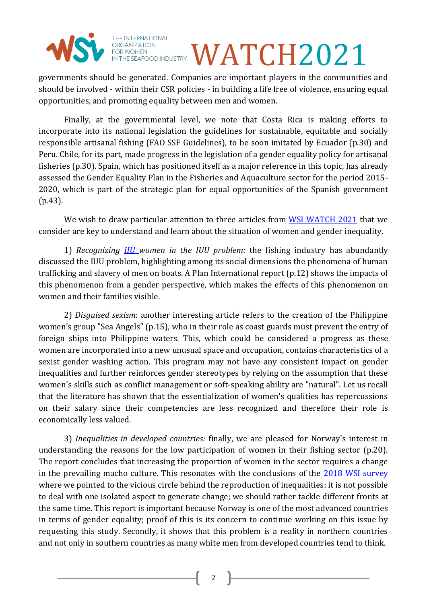

## FOR WOMEN **EXPROPENDUSTRY WATCH2021**

governments should be generated. Companies are important players in the communities and should be involved - within their CSR policies - in building a life free of violence, ensuring equal opportunities, and promoting equality between men and women.

Finally, at the governmental level, we note that Costa Rica is making efforts to incorporate into its national legislation the guidelines for sustainable, equitable and socially responsible artisanal fishing (FAO SSF Guidelines), to be soon imitated by Ecuador (p.30) and Peru. Chile, for its part, made progress in the legislation of a gender equality policy for artisanal fisheries (p.30). Spain, which has positioned itself as a major reference in this topic, has already assessed the Gender Equality Plan in the Fisheries and Aquaculture sector for the period 2015- 2020, which is part of the strategic plan for equal opportunities of the Spanish government (p.43).

We wish to draw particular attention to three articles from [WSI WATCH 2021](https://womeninseafood.org/wp-content/uploads/2022/03/watch-2021-en.pdf) that we consider are key to understand and learn about the situation of women and gender inequality.

1) *Recognizing [IIU](https://womeninseafood.org/lets-acknowledge-invisible-ignored-and-unrecognised-iiu-women-in-the-seafood-industry/) women in the IUU problem*: the fishing industry has abundantly discussed the IUU problem, highlighting among its social dimensions the phenomena of human trafficking and slavery of men on boats. A Plan International report (p.12) shows the impacts of this phenomenon from a gender perspective, which makes the effects of this phenomenon on women and their families visible.

2) *Disguised sexism*: another interesting article refers to the creation of the Philippine women's group "Sea Angels" (p.15), who in their role as coast guards must prevent the entry of foreign ships into Philippine waters. This, which could be considered a progress as these women are incorporated into a new unusual space and occupation, contains characteristics of a sexist gender washing action. This program may not have any consistent impact on gender inequalities and further reinforces gender stereotypes by relying on the assumption that these women's skills such as conflict management or soft-speaking ability are "natural". Let us recall that the literature has shown that the essentialization of women's qualities has repercussions on their salary since their competencies are less recognized and therefore their role is economically less valued.

3) *Inequalities in developed countries:* finally, we are pleased for Norway's interest in understanding the reasons for the low participation of women in their fishing sector (p.20). The report concludes that increasing the proportion of women in the sector requires a change in the prevailing macho culture. This resonates with the conclusions of the [2018 WSI survey](https://womeninseafood.org/what-we-do/wsi-survey/) where we pointed to the vicious circle behind the reproduction of inequalities: it is not possible to deal with one isolated aspect to generate change; we should rather tackle different fronts at the same time. This report is important because Norway is one of the most advanced countries in terms of gender equality; proof of this is its concern to continue working on this issue by requesting this study. Secondly, it shows that this problem is a reality in northern countries and not only in southern countries as many white men from developed countries tend to think.